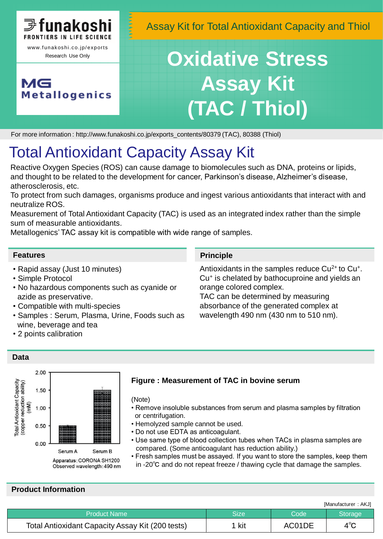

**Metallogenics** 

MG

Assay Kit for Total Antioxidant Capacity and Thiol

# **Oxidative Stress Assay Kit (TAC / Thiol)**

For more information : http://www.funakoshi.co.jp/exports\_contents/80379 (TAC), 80388 (Thiol)

## Total Antioxidant Capacity Assay Kit

Reactive Oxygen Species (ROS) can cause damage to biomolecules such as DNA, proteins or lipids, and thought to be related to the development for cancer, Parkinson's disease, Alzheimer's disease, atherosclerosis, etc.

To protect from such damages, organisms produce and ingest various antioxidants that interact with and neutralize ROS.

Measurement of Total Antioxidant Capacity (TAC) is used as an integrated index rather than the simple sum of measurable antioxidants.

Metallogenics' TAC assay kit is compatible with wide range of samples.

#### **Features**

- Rapid assay (Just 10 minutes)
- Simple Protocol
- No hazardous components such as cyanide or azide as preservative.
- Compatible with multi-species
- Samples : Serum, Plasma, Urine, Foods such as wine, beverage and tea
- 2 points calibration

#### **Principle**

Antioxidants in the samples reduce  $Cu^{2+}$  to  $Cu^{+}$ . Cu<sup>+</sup> is chelated by bathocuproine and yields an orange colored complex.

TAC can be determined by measuring absorbance of the generated complex at wavelength 490 nm (430 nm to 510 nm).

#### **Data**



#### **Figure : Measurement of TAC in bovine serum**

#### (Note)

- Remove insoluble substances from serum and plasma samples by filtration or centrifugation.
- Hemolyzed sample cannot be used.
- Do not use EDTA as anticoagulant.
- Use same type of blood collection tubes when TACs in plasma samples are compared. (Some anticoagulant has reduction ability.)
- Fresh samples must be assayed. If you want to store the samples, keep them in -20℃ and do not repeat freeze / thawing cycle that damage the samples.

## **Product Information**

|                                                  |       | [Manufacturer: AKJ] |                |  |
|--------------------------------------------------|-------|---------------------|----------------|--|
| Product Name <b>\</b>                            | Size  | Code                | <b>Storage</b> |  |
| Total Antioxidant Capacity Assay Kit (200 tests) | 1 kit | AC01DE              | $4^\circ$ C    |  |